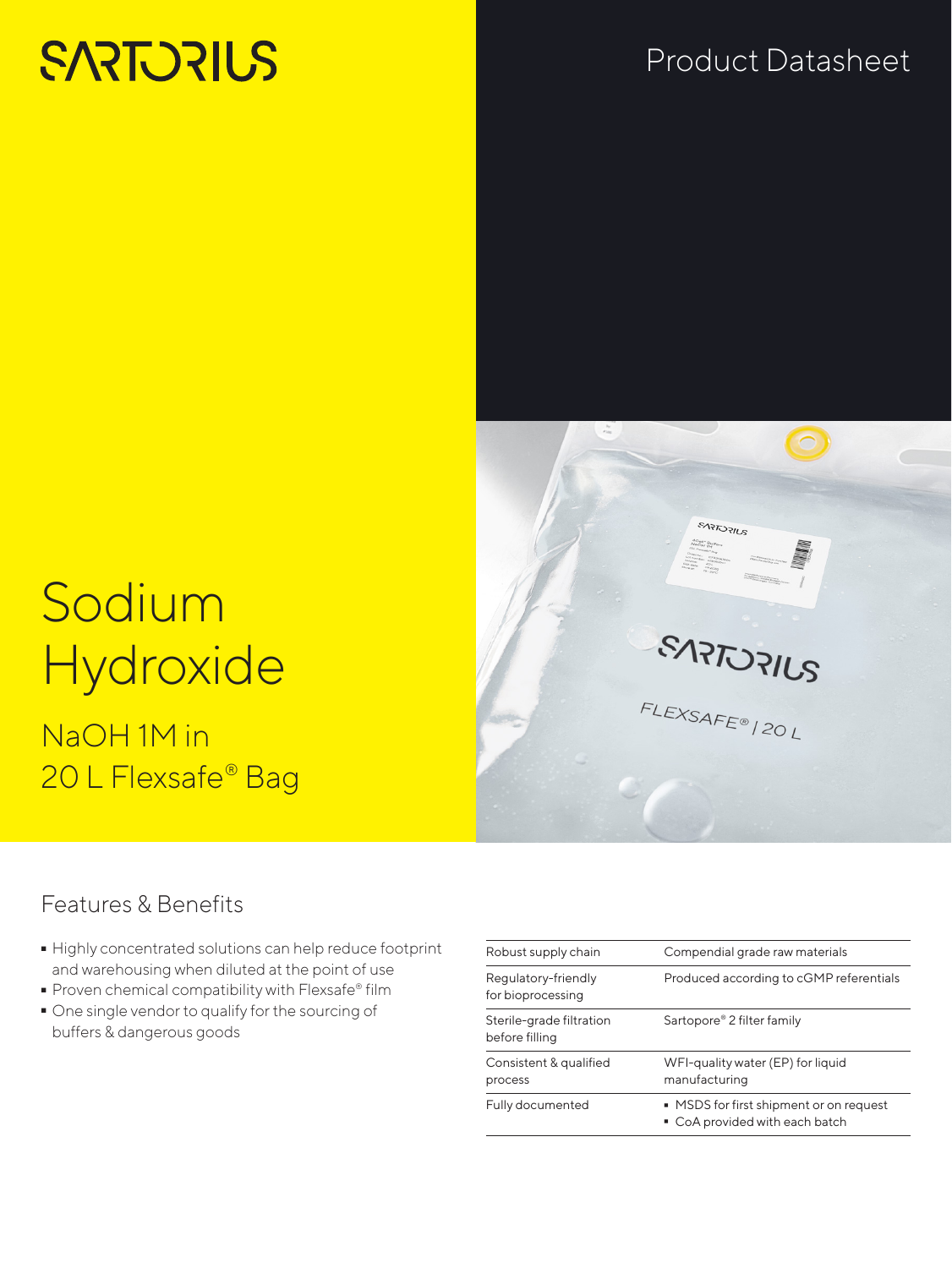# **SARTORIUS**

#### Product Datasheet



# Sodium **Hydroxide**

NaOH 1M in 20 L Flexsafe® Bag

#### Features & Benefits

- Highly concentrated solutions can help reduce footprint<br>and warehousing when diluted at the point of use<br>- Proven chemical compatibility with Flexsafe® film and warehousing when diluted at the point of use
- 
- Proven chemical compatibility with Flexsafe® film<br>■ One single vendor to qualify for the sourcing of - One single vendor to qualify for the sourcing of buffers & dangerous goods

| Robust supply chain                        | Compendial grade raw materials                                            |
|--------------------------------------------|---------------------------------------------------------------------------|
| Regulatory-friendly<br>for bioprocessing   | Produced according to cGMP referentials                                   |
| Sterile-grade filtration<br>before filling | Sartopore® 2 filter family                                                |
| Consistent & qualified<br>process          | WFI-quality water (EP) for liquid<br>manufacturing                        |
| Fully documented                           | ■ MSDS for first shipment or on request<br>• CoA provided with each batch |
|                                            |                                                                           |